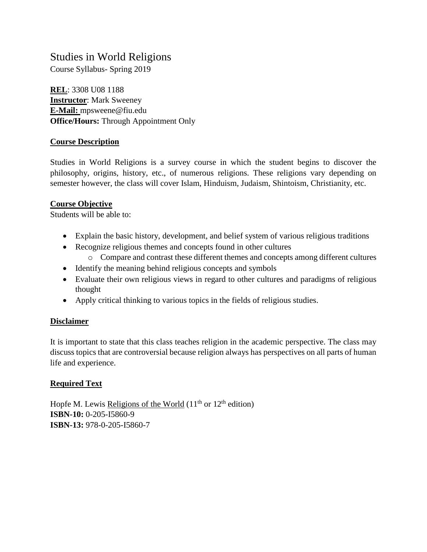# Studies in World Religions

Course Syllabus- Spring 2019

**REL**: 3308 U08 1188 **Instructor**: Mark Sweeney **E-Mail:** mpsweene@fiu.edu **Office/Hours:** Through Appointment Only

## **Course Description**

Studies in World Religions is a survey course in which the student begins to discover the philosophy, origins, history, etc., of numerous religions. These religions vary depending on semester however, the class will cover Islam, Hinduism, Judaism, Shintoism, Christianity, etc.

#### **Course Objective**

Students will be able to:

- Explain the basic history, development, and belief system of various religious traditions
- Recognize religious themes and concepts found in other cultures
	- o Compare and contrast these different themes and concepts among different cultures
- Identify the meaning behind religious concepts and symbols
- Evaluate their own religious views in regard to other cultures and paradigms of religious thought
- Apply critical thinking to various topics in the fields of religious studies.

## **Disclaimer**

It is important to state that this class teaches religion in the academic perspective. The class may discuss topics that are controversial because religion always has perspectives on all parts of human life and experience.

## **Required Text**

Hopfe M. Lewis Religions of the World  $(11<sup>th</sup>$  or  $12<sup>th</sup>$  edition) **ISBN-10:** 0-205-I5860-9 **ISBN-13:** 978-0-205-I5860-7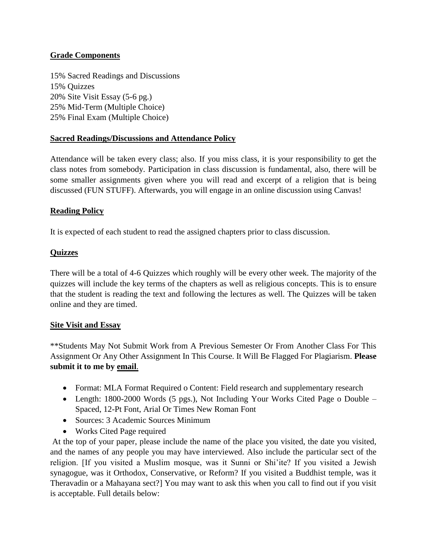## **Grade Components**

15% Sacred Readings and Discussions 15% Quizzes 20% Site Visit Essay (5-6 pg.) 25% Mid-Term (Multiple Choice) 25% Final Exam (Multiple Choice)

#### **Sacred Readings/Discussions and Attendance Policy**

Attendance will be taken every class; also. If you miss class, it is your responsibility to get the class notes from somebody. Participation in class discussion is fundamental, also, there will be some smaller assignments given where you will read and excerpt of a religion that is being discussed (FUN STUFF). Afterwards, you will engage in an online discussion using Canvas!

#### **Reading Policy**

It is expected of each student to read the assigned chapters prior to class discussion.

#### **Quizzes**

There will be a total of 4-6 Quizzes which roughly will be every other week. The majority of the quizzes will include the key terms of the chapters as well as religious concepts. This is to ensure that the student is reading the text and following the lectures as well. The Quizzes will be taken online and they are timed.

## **Site Visit and Essay**

\*\*Students May Not Submit Work from A Previous Semester Or From Another Class For This Assignment Or Any Other Assignment In This Course. It Will Be Flagged For Plagiarism. **Please submit it to me by email**.

- Format: MLA Format Required o Content: Field research and supplementary research
- Length: 1800-2000 Words (5 pgs.), Not Including Your Works Cited Page o Double Spaced, 12-Pt Font, Arial Or Times New Roman Font
- Sources: 3 Academic Sources Minimum
- Works Cited Page required

At the top of your paper, please include the name of the place you visited, the date you visited, and the names of any people you may have interviewed. Also include the particular sect of the religion. [If you visited a Muslim mosque, was it Sunni or Shi'ite? If you visited a Jewish synagogue, was it Orthodox, Conservative, or Reform? If you visited a Buddhist temple, was it Theravadin or a Mahayana sect?] You may want to ask this when you call to find out if you visit is acceptable. Full details below: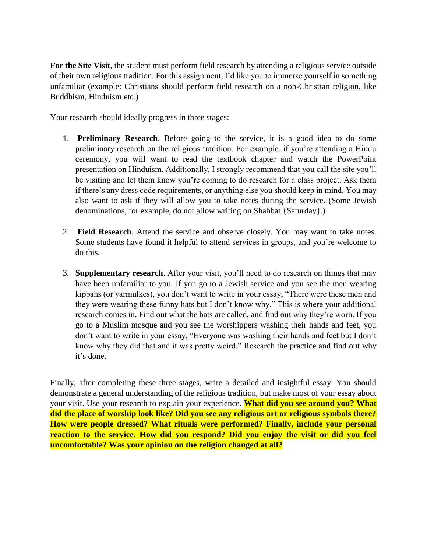**For the Site Visit**, the student must perform field research by attending a religious service outside of their own religious tradition. For this assignment, I'd like you to immerse yourself in something unfamiliar (example: Christians should perform field research on a non-Christian religion, like Buddhism, Hinduism etc.)

Your research should ideally progress in three stages:

- 1. **Preliminary Research**. Before going to the service, it is a good idea to do some preliminary research on the religious tradition. For example, if you're attending a Hindu ceremony, you will want to read the textbook chapter and watch the PowerPoint presentation on Hinduism. Additionally, I strongly recommend that you call the site you'll be visiting and let them know you're coming to do research for a class project. Ask them if there's any dress code requirements, or anything else you should keep in mind. You may also want to ask if they will allow you to take notes during the service. (Some Jewish denominations, for example, do not allow writing on Shabbat {Saturday}.)
- 2. **Field Research**. Attend the service and observe closely. You may want to take notes. Some students have found it helpful to attend services in groups, and you're welcome to do this.
- 3. **Supplementary research**. After your visit, you'll need to do research on things that may have been unfamiliar to you. If you go to a Jewish service and you see the men wearing kippahs (or yarmulkes), you don't want to write in your essay, "There were these men and they were wearing these funny hats but I don't know why." This is where your additional research comes in. Find out what the hats are called, and find out why they're worn. If you go to a Muslim mosque and you see the worshippers washing their hands and feet, you don't want to write in your essay, "Everyone was washing their hands and feet but I don't know why they did that and it was pretty weird." Research the practice and find out why it's done.

Finally, after completing these three stages, write a detailed and insightful essay. You should demonstrate a general understanding of the religious tradition, but make most of your essay about your visit. Use your research to explain your experience. **What did you see around you? What did the place of worship look like? Did you see any religious art or religious symbols there? How were people dressed? What rituals were performed? Finally, include your personal reaction to the service. How did you respond? Did you enjoy the visit or did you feel uncomfortable? Was your opinion on the religion changed at all?**